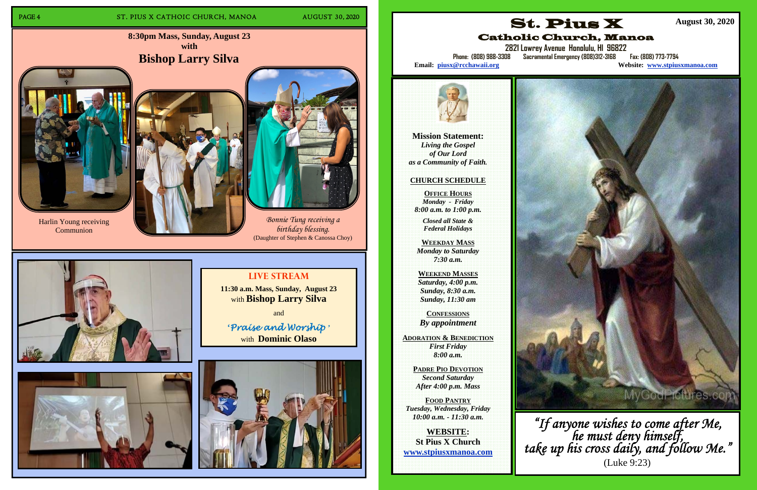# PAGE 4 ST. PIUS X CATHOIC CHURCH, MANOA AUGUST 30, 2020

**8:30pm Mass, Sunday, August 23 with Bishop Larry Silva**



# **Live Stream**

**11:30 a.m. Mass, Sunday, August 23**  with **Bishop Larry Silva** 

and

**'***Praise and Worship* **'** with **Dominic Olaso**



*Bonnie Tung receiving a birthday blessing.*  (Daughter of Stephen & Canossa Choy)





Harlin Young receiving Communion





**Mission Statement:**  *Living the Gospel of Our Lord as a Community of Faith.* 

### **CHURCH SCHEDULE**

**OFFICE HOURS***Monday - Friday 8:00 a.m. to 1:00 p.m.* 

**2821 Lowrey Avenue Honolulu, HI 96822 Phone: (808) 988-3308 Sacramental Emergency (808)312-3168 Fax: (808) 773-7794**  Website: **www.stpiusxmanoa.com** 

*Closed all State & Federal Holidays* 

**WEEKDAY MASS**  *Monday to Saturday 7:30 a.m.* 

**WEEKEND MASSES**  *Saturday, 4:00 p.m. Sunday, 8:30 a.m. Sunday, 11:30 am* 

**CONFESSIONS** *By appointment* 

**ADORATION & BENEDICTION** *First Friday 8:00 a.m.* 

**PADRE PIO DEVOTION** *Second Saturday After 4:00 p.m. Mass* 

**FOOD PANTRY** *Tuesday, Wednesday, Friday 10:00 a.m. - 11:30 a.m.* 

**WEBSITE: St Pius X Church www.stpiusxmanoa.com** 



Catholic Church, Manoa

Email: piusx@rcchawaii.org



 **August 30, 2020** 



*"If anyone wishes to come after Me, he must deny himself, take up his cross daily, and follow Me."*  (Luke 9:23)